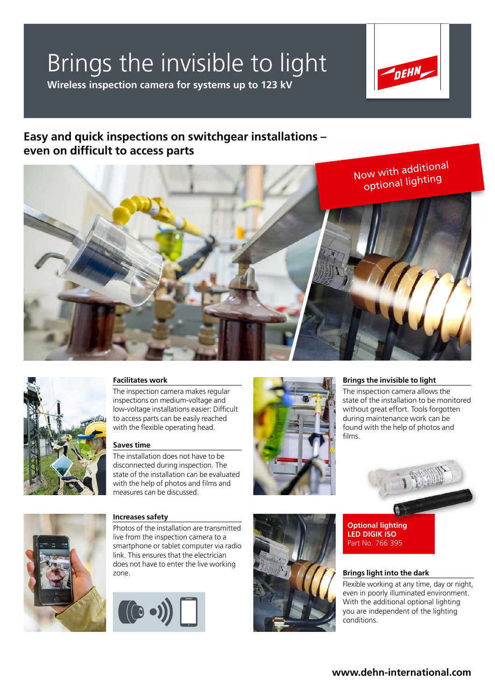# Brings the invisible to light

**Wireless inspection camera for systems up to 123 kV**



### **Easy and quick inspections on switchgear installations – even on difficult to access parts**





### **Facilitates work**

The inspection camera makes regular inspections on medium-voltage and low-voltage installations easier: Difficult to access parts can be easily reached with the flexible operating head.

#### **Saves time**

The installation does not have to be disconnected during inspection. The state of the installation can be evaluated with the help of photos and films and measures can be discussed.



#### **Brings the invisible to light**

The inspection camera allows the state of the installation to be monitored without great effort. Tools forgotten during maintenance work can be found with the help of photos and films.





#### **Increases safety**

Photos of the installation are transmitted live from the inspection camera to a smartphone or tablet computer via radio link. This ensures that the electrician does not have to enter the live working zone.





#### **Brings light into the dark**

Flexible working at any time, day or night, even in poorly illuminated environment. With the additional optional lighting you are independent of the lighting conditions.